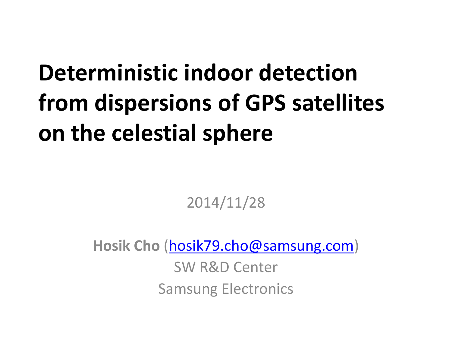### **Deterministic indoor detection from dispersions of GPS satellites on the celestial sphere**

2014/11/28

**Hosik Cho** ([hosik79.cho@samsung.com](mailto:hosik79.cho@samsung.com))

SW R&D Center Samsung Electronics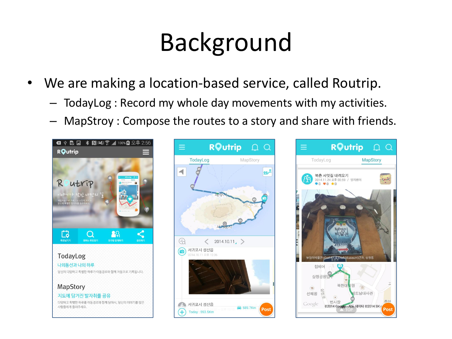# Background

- We are making a location-based service, called Routrip.
	- TodayLog : Record my whole day movements with my activities.
	- MapStroy: Compose the routes to a story and share with friends.





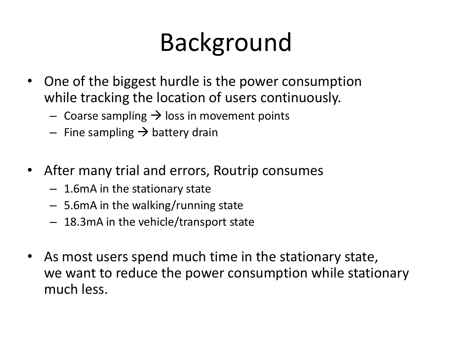# Background

- One of the biggest hurdle is the power consumption while tracking the location of users continuously.
	- Coarse sampling  $\rightarrow$  loss in movement points
	- Fine sampling  $\rightarrow$  battery drain
- After many trial and errors, Routrip consumes
	- 1.6mA in the stationary state
	- 5.6mA in the walking/running state
	- 18.3mA in the vehicle/transport state
- As most users spend much time in the stationary state, we want to reduce the power consumption while stationary much less.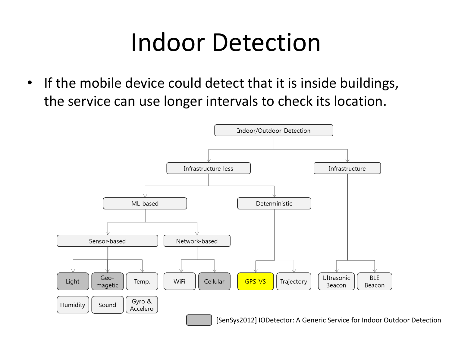### Indoor Detection

• If the mobile device could detect that it is inside buildings, the service can use longer intervals to check its location.

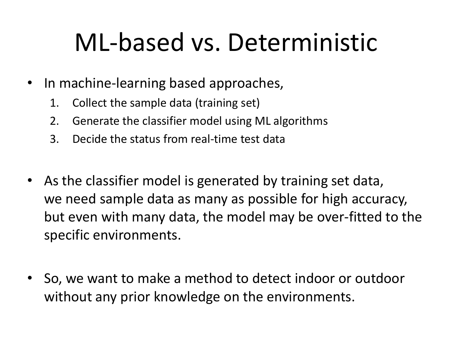### ML-based vs. Deterministic

- In machine-learning based approaches,
	- 1. Collect the sample data (training set)
	- 2. Generate the classifier model using ML algorithms
	- 3. Decide the status from real-time test data
- As the classifier model is generated by training set data, we need sample data as many as possible for high accuracy, but even with many data, the model may be over-fitted to the specific environments.
- So, we want to make a method to detect indoor or outdoor without any prior knowledge on the environments.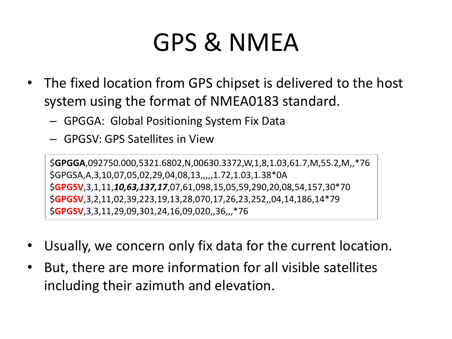### GPS & NMEA

- The fixed location from GPS chipset is delivered to the host system using the format of NMEA0183 standard.
	- GPGGA: Global Positioning System Fix Data
	- GPGSV: GPS Satellites in View

\$**GPGGA**,092750.000,5321.6802,N,00630.3372,W,1,8,1.03,61.7,M,55.2,M,,\*76 \$GPGSA,A,3,10,07,05,02,29,04,08,13,,,,,1.72,1.03,1.38\*0A \$**GPGSV**,3,1,11,*10,63,137,17*,07,61,098,15,05,59,290,20,08,54,157,30\*70 \$**GPGSV**,3,2,11,02,39,223,19,13,28,070,17,26,23,252,,04,14,186,14\*79 \$**GPGSV**,3,3,11,29,09,301,24,16,09,020,,36,,,\*76

- Usually, we concern only fix data for the current location.
- But, there are more information for all visible satellites including their azimuth and elevation.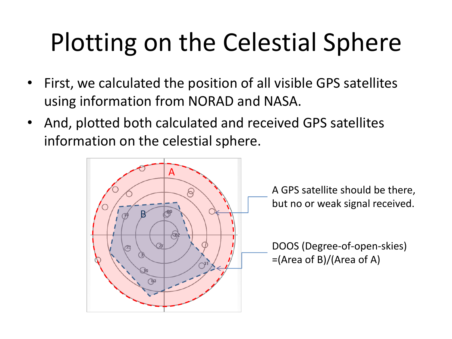# Plotting on the Celestial Sphere

- First, we calculated the position of all visible GPS satellites using information from NORAD and NASA.
- And, plotted both calculated and received GPS satellites information on the celestial sphere.

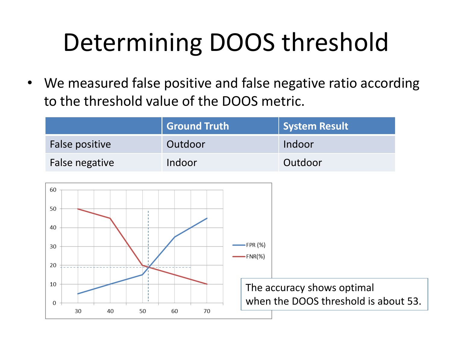# Determining DOOS threshold

• We measured false positive and false negative ratio according to the threshold value of the DOOS metric.

|                | <b>Ground Truth</b> | <b>System Result</b> |
|----------------|---------------------|----------------------|
| False positive | Outdoor             | Indoor               |
| False negative | Indoor              | Outdoor              |

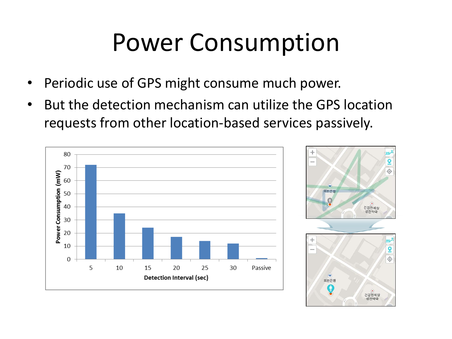### Power Consumption

- Periodic use of GPS might consume much power.
- But the detection mechanism can utilize the GPS location requests from other location-based services passively.

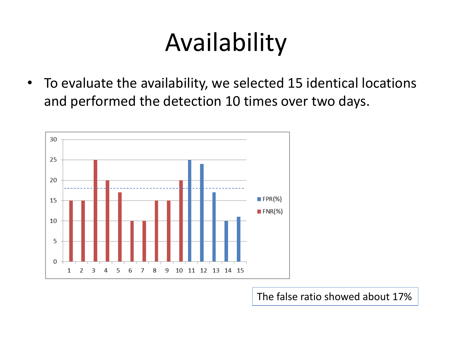### Availability

• To evaluate the availability, we selected 15 identical locations and performed the detection 10 times over two days.



The false ratio showed about 17%